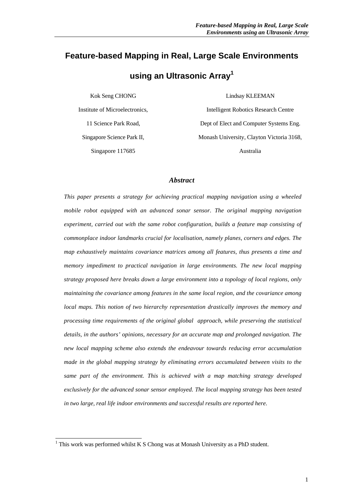# **Feature-based Mapping in Real, Large Scale Environments**

# **using an Ultrasonic Array<sup>1</sup>**

Kok Seng CHONG

Institute of Microelectronics, 11 Science Park Road, Singapore Science Park II, Singapore 117685

Lindsay KLEEMAN

Intelligent Robotics Research Centre Dept of Elect and Computer Systems Eng. Monash University, Clayton Victoria 3168, Australia

### *Abstract*

*This paper presents a strategy for achieving practical mapping navigation using a wheeled mobile robot equipped with an advanced sonar sensor. The original mapping navigation experiment, carried out with the same robot configuration, builds a feature map consisting of commonplace indoor landmarks crucial for localisation, namely planes, corners and edges. The map exhaustively maintains covariance matrices among all features, thus presents a time and memory impediment to practical navigation in large environments. The new local mapping strategy proposed here breaks down a large environment into a topology of local regions, only maintaining the covariance among features in the same local region, and the covariance among local maps. This notion of two hierarchy representation drastically improves the memory and processing time requirements of the original global approach, while preserving the statistical details, in the authors' opinions, necessary for an accurate map and prolonged navigation. The new local mapping scheme also extends the endeavour towards reducing error accumulation made in the global mapping strategy by eliminating errors accumulated between visits to the same part of the environment. This is achieved with a map matching strategy developed exclusively for the advanced sonar sensor employed. The local mapping strategy has been tested in two large, real life indoor environments and successful results are reported here.*

<sup>&</sup>lt;sup>1</sup> This work was performed whilst K S Chong was at Monash University as a PhD student.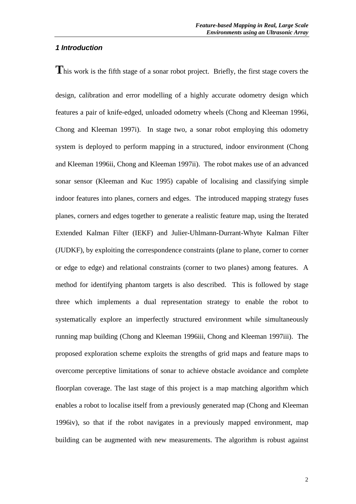# *1 Introduction*

This work is the fifth stage of a sonar robot project. Briefly, the first stage covers the

design, calibration and error modelling of a highly accurate odometry design which features a pair of knife-edged, unloaded odometry wheels (Chong and Kleeman 1996i, Chong and Kleeman 1997i). In stage two, a sonar robot employing this odometry system is deployed to perform mapping in a structured, indoor environment (Chong and Kleeman 1996ii, Chong and Kleeman 1997ii). The robot makes use of an advanced sonar sensor (Kleeman and Kuc 1995) capable of localising and classifying simple indoor features into planes, corners and edges. The introduced mapping strategy fuses planes, corners and edges together to generate a realistic feature map, using the Iterated Extended Kalman Filter (IEKF) and Julier-Uhlmann-Durrant-Whyte Kalman Filter (JUDKF), by exploiting the correspondence constraints (plane to plane, corner to corner or edge to edge) and relational constraints (corner to two planes) among features. A method for identifying phantom targets is also described. This is followed by stage three which implements a dual representation strategy to enable the robot to systematically explore an imperfectly structured environment while simultaneously running map building (Chong and Kleeman 1996iii, Chong and Kleeman 1997iii). The proposed exploration scheme exploits the strengths of grid maps and feature maps to overcome perceptive limitations of sonar to achieve obstacle avoidance and complete floorplan coverage. The last stage of this project is a map matching algorithm which enables a robot to localise itself from a previously generated map (Chong and Kleeman 1996iv), so that if the robot navigates in a previously mapped environment, map building can be augmented with new measurements. The algorithm is robust against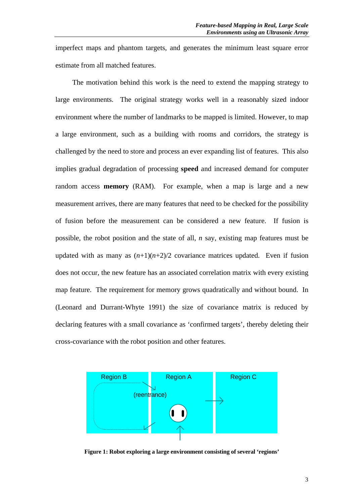imperfect maps and phantom targets, and generates the minimum least square error estimate from all matched features.

The motivation behind this work is the need to extend the mapping strategy to large environments. The original strategy works well in a reasonably sized indoor environment where the number of landmarks to be mapped is limited. However, to map a large environment, such as a building with rooms and corridors, the strategy is challenged by the need to store and process an ever expanding list of features. This also implies gradual degradation of processing **speed** and increased demand for computer random access **memory** (RAM). For example, when a map is large and a new measurement arrives, there are many features that need to be checked for the possibility of fusion before the measurement can be considered a new feature. If fusion is possible, the robot position and the state of all, *n* say, existing map features must be updated with as many as  $(n+1)(n+2)/2$  covariance matrices updated. Even if fusion does not occur, the new feature has an associated correlation matrix with every existing map feature. The requirement for memory grows quadratically and without bound. In (Leonard and Durrant-Whyte 1991) the size of covariance matrix is reduced by declaring features with a small covariance as 'confirmed targets', thereby deleting their cross-covariance with the robot position and other features.



**Figure 1: Robot exploring a large environment consisting of several 'regions'**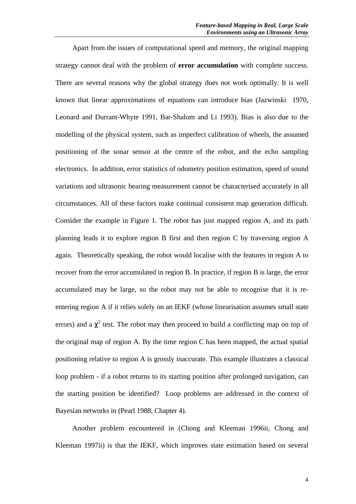Apart from the issues of computational speed and memory, the original mapping strategy cannot deal with the problem of **error accumulation** with complete success. There are several reasons why the global strategy does not work optimally. It is well known that linear approximations of equations can introduce bias (Jazwinski 1970, Leonard and Durrant-Whyte 1991, Bar-Shalom and Li 1993). Bias is also due to the modelling of the physical system, such as imperfect calibration of wheels, the assumed positioning of the sonar sensor at the centre of the robot, and the echo sampling electronics. In addition, error statistics of odometry position estimation, speed of sound variations and ultrasonic bearing measurement cannot be characterised accurately in all circumstances. All of these factors make continual consistent map generation difficult. Consider the example in Figure 1. The robot has just mapped region A, and its path planning leads it to explore region B first and then region C by traversing region A again. Theoretically speaking, the robot would localise with the features in region A to recover from the error accumulated in region B. In practice, if region B is large, the error accumulated may be large, so the robot may not be able to recognise that it is reentering region A if it relies solely on an IEKF (whose linearisation assumes small state errors) and a  $\chi^2$  test. The robot may then proceed to build a conflicting map on top of the original map of region A. By the time region C has been mapped, the actual spatial positioning relative to region A is grossly inaccurate. This example illustrates a classical loop problem - if a robot returns to its starting position after prolonged navigation, can the starting position be identified? Loop problems are addressed in the context of Bayesian networks in (Pearl 1988, Chapter 4).

Another problem encountered in (Chong and Kleeman 1996ii, Chong and Kleeman 1997ii) is that the IEKF, which improves state estimation based on several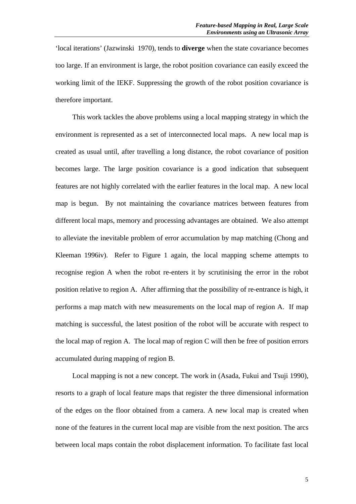'local iterations' (Jazwinski 1970), tends to **diverge** when the state covariance becomes too large. If an environment is large, the robot position covariance can easily exceed the working limit of the IEKF. Suppressing the growth of the robot position covariance is therefore important.

This work tackles the above problems using a local mapping strategy in which the environment is represented as a set of interconnected local maps. A new local map is created as usual until, after travelling a long distance, the robot covariance of position becomes large. The large position covariance is a good indication that subsequent features are not highly correlated with the earlier features in the local map. A new local map is begun. By not maintaining the covariance matrices between features from different local maps, memory and processing advantages are obtained. We also attempt to alleviate the inevitable problem of error accumulation by map matching (Chong and Kleeman 1996iv). Refer to Figure 1 again, the local mapping scheme attempts to recognise region A when the robot re-enters it by scrutinising the error in the robot position relative to region A. After affirming that the possibility of re-entrance is high, it performs a map match with new measurements on the local map of region A. If map matching is successful, the latest position of the robot will be accurate with respect to the local map of region A. The local map of region C will then be free of position errors accumulated during mapping of region B.

Local mapping is not a new concept. The work in (Asada, Fukui and Tsuji 1990), resorts to a graph of local feature maps that register the three dimensional information of the edges on the floor obtained from a camera. A new local map is created when none of the features in the current local map are visible from the next position. The arcs between local maps contain the robot displacement information. To facilitate fast local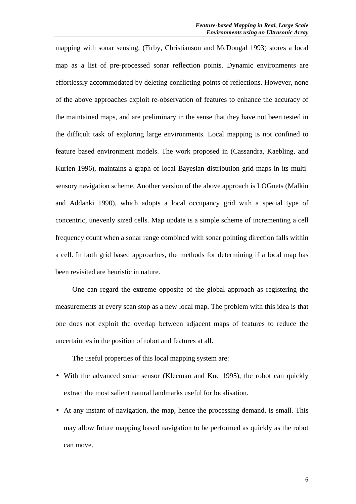mapping with sonar sensing, (Firby, Christianson and McDougal 1993) stores a local map as a list of pre-processed sonar reflection points. Dynamic environments are effortlessly accommodated by deleting conflicting points of reflections. However, none of the above approaches exploit re-observation of features to enhance the accuracy of the maintained maps, and are preliminary in the sense that they have not been tested in the difficult task of exploring large environments. Local mapping is not confined to feature based environment models. The work proposed in (Cassandra, Kaebling, and Kurien 1996), maintains a graph of local Bayesian distribution grid maps in its multisensory navigation scheme. Another version of the above approach is LOGnets (Malkin and Addanki 1990), which adopts a local occupancy grid with a special type of concentric, unevenly sized cells. Map update is a simple scheme of incrementing a cell frequency count when a sonar range combined with sonar pointing direction falls within a cell. In both grid based approaches, the methods for determining if a local map has been revisited are heuristic in nature.

One can regard the extreme opposite of the global approach as registering the measurements at every scan stop as a new local map. The problem with this idea is that one does not exploit the overlap between adjacent maps of features to reduce the uncertainties in the position of robot and features at all.

The useful properties of this local mapping system are:

- With the advanced sonar sensor (Kleeman and Kuc 1995), the robot can quickly extract the most salient natural landmarks useful for localisation.
- At any instant of navigation, the map, hence the processing demand, is small. This may allow future mapping based navigation to be performed as quickly as the robot can move.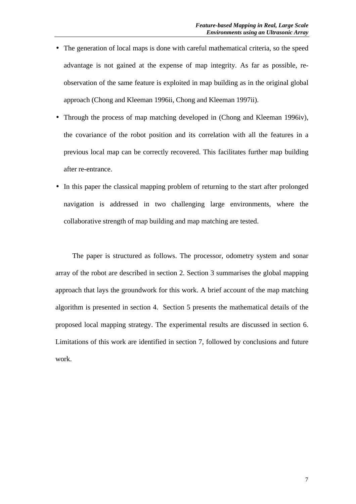- The generation of local maps is done with careful mathematical criteria, so the speed advantage is not gained at the expense of map integrity. As far as possible, reobservation of the same feature is exploited in map building as in the original global approach (Chong and Kleeman 1996ii, Chong and Kleeman 1997ii).
- Through the process of map matching developed in (Chong and Kleeman 1996iv), the covariance of the robot position and its correlation with all the features in a previous local map can be correctly recovered. This facilitates further map building after re-entrance.
- In this paper the classical mapping problem of returning to the start after prolonged navigation is addressed in two challenging large environments, where the collaborative strength of map building and map matching are tested.

The paper is structured as follows. The processor, odometry system and sonar array of the robot are described in section 2. Section 3 summarises the global mapping approach that lays the groundwork for this work. A brief account of the map matching algorithm is presented in section 4. Section 5 presents the mathematical details of the proposed local mapping strategy. The experimental results are discussed in section 6. Limitations of this work are identified in section 7, followed by conclusions and future work.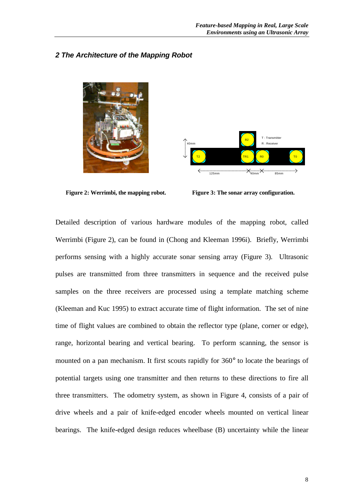### *2 The Architecture of the Mapping Robot*





**Figure 2: Werrimbi, the mapping robot. Figure 3: The sonar array configuration.**

Detailed description of various hardware modules of the mapping robot, called Werrimbi (Figure 2), can be found in (Chong and Kleeman 1996i). Briefly, Werrimbi performs sensing with a highly accurate sonar sensing array (Figure 3). Ultrasonic pulses are transmitted from three transmitters in sequence and the received pulse samples on the three receivers are processed using a template matching scheme (Kleeman and Kuc 1995) to extract accurate time of flight information. The set of nine time of flight values are combined to obtain the reflector type (plane, corner or edge), range, horizontal bearing and vertical bearing. To perform scanning, the sensor is mounted on a pan mechanism. It first scouts rapidly for 360° to locate the bearings of potential targets using one transmitter and then returns to these directions to fire all three transmitters. The odometry system, as shown in Figure 4, consists of a pair of drive wheels and a pair of knife-edged encoder wheels mounted on vertical linear bearings. The knife-edged design reduces wheelbase (B) uncertainty while the linear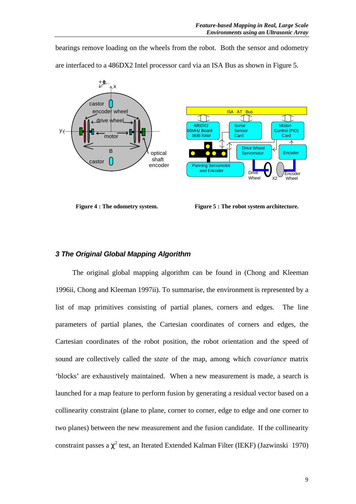bearings remove loading on the wheels from the robot. Both the sensor and odometry are interfaced to a 486DX2 Intel processor card via an ISA Bus as shown in Figure 5.



**Figure 4 : The odometry system. Figure 5 : The robot system architecture.**

# *3 The Original Global Mapping Algorithm*

The original global mapping algorithm can be found in (Chong and Kleeman 1996ii, Chong and Kleeman 1997ii). To summarise, the environment is represented by a list of map primitives consisting of partial planes, corners and edges. The line parameters of partial planes, the Cartesian coordinates of corners and edges, the Cartesian coordinates of the robot position, the robot orientation and the speed of sound are collectively called the *state* of the map, among which *covariance* matrix 'blocks' are exhaustively maintained. When a new measurement is made, a search is launched for a map feature to perform fusion by generating a residual vector based on a collinearity constraint (plane to plane, corner to corner, edge to edge and one corner to two planes) between the new measurement and the fusion candidate. If the collinearity constraint passes a  $\chi^2$  test, an Iterated Extended Kalman Filter (IEKF) (Jazwinski 1970)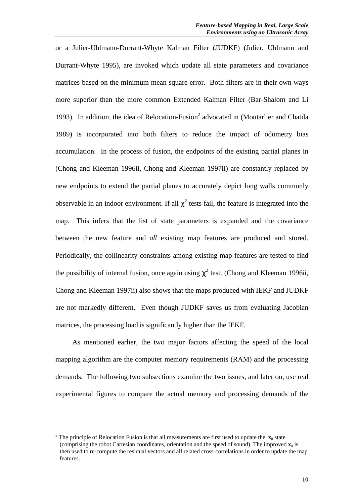or a Julier-Uhlmann-Durrant-Whyte Kalman Filter (JUDKF) (Julier, Uhlmann and Durrant-Whyte 1995), are invoked which update all state parameters and covariance matrices based on the minimum mean square error. Both filters are in their own ways more superior than the more common Extended Kalman Filter (Bar-Shalom and Li 1993). In addition, the idea of Relocation-Fusion<sup>2</sup> advocated in (Moutarlier and Chatila 1989) is incorporated into both filters to reduce the impact of odometry bias accumulation. In the process of fusion, the endpoints of the existing partial planes in (Chong and Kleeman 1996ii, Chong and Kleeman 1997ii) are constantly replaced by new endpoints to extend the partial planes to accurately depict long walls commonly observable in an indoor environment. If all  $\chi^2$  tests fail, the feature is integrated into the map. This infers that the list of state parameters is expanded and the covariance between the new feature and *all* existing map features are produced and stored. Periodically, the collinearity constraints among existing map features are tested to find the possibility of internal fusion, once again using  $\chi^2$  test. (Chong and Kleeman 1996ii, Chong and Kleeman 1997ii) also shows that the maps produced with IEKF and JUDKF are not markedly different. Even though JUDKF saves us from evaluating Jacobian matrices, the processing load is significantly higher than the IEKF.

As mentioned earlier, the two major factors affecting the speed of the local mapping algorithm are the computer memory requirements (RAM) and the processing demands. The following two subsections examine the two issues, and later on, use real experimental figures to compare the actual memory and processing demands of the

 $\overline{a}$ 

<sup>&</sup>lt;sup>2</sup> The principle of Relocation Fusion is that all measurements are first used to update the  $\mathbf{x}_0$  state (comprising the robot Cartesian coordinates, orientation and the speed of sound). The improved  $\mathbf{x}_0$  is then used to re-compute the residual vectors and all related cross-correlations in order to update the map features.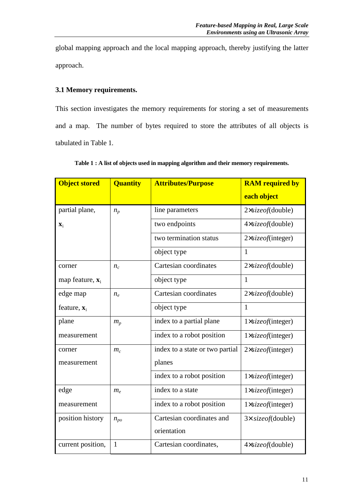global mapping approach and the local mapping approach, thereby justifying the latter approach.

# **3.1 Memory requirements.**

This section investigates the memory requirements for storing a set of measurements and a map. The number of bytes required to store the attributes of all objects is tabulated in Table 1.

| <b>Object stored</b>        | <b>Quantity</b> | <b>Attributes/Purpose</b>       | <b>RAM</b> required by      |  |  |
|-----------------------------|-----------------|---------------------------------|-----------------------------|--|--|
|                             |                 |                                 | each object                 |  |  |
| partial plane,              | $n_p$           | line parameters                 | $2 \times sizeof$ (double)  |  |  |
| $\mathbf{X}_1$              |                 | two endpoints                   | 4xsizeof(double)            |  |  |
|                             |                 | two termination status          | 2×sizeof(integer)           |  |  |
|                             |                 | object type                     | $\mathbf{1}$                |  |  |
| corner                      | $n_c$           | Cartesian coordinates           | $2 \times sizeof$ (double)  |  |  |
| map feature, $\mathbf{x}_i$ |                 | object type                     | $\mathbf{1}$                |  |  |
| edge map                    | $n_e$           | Cartesian coordinates           | $2 \times sizeof$ (double)  |  |  |
| feature, $\mathbf{x}_i$     |                 | object type                     | $\mathbf{1}$                |  |  |
| plane                       | $m_p$           | index to a partial plane        | 1×sizeof(integer)           |  |  |
| measurement                 |                 | index to a robot position       | 1×sizeof(integer)           |  |  |
| corner                      | $m_c$           | index to a state or two partial | $2\times size of (integer)$ |  |  |
| measurement                 |                 | planes                          |                             |  |  |
|                             |                 | index to a robot position       | 1xsizeof(integer)           |  |  |
| edge                        | $m_e$           | index to a state                | 1×sizeof(integer)           |  |  |
| measurement                 |                 | index to a robot position       | 1×sizeof(integer)           |  |  |
| position history            | $n_{po}$        | Cartesian coordinates and       | $3 \times$ size of (double) |  |  |
|                             |                 | orientation                     |                             |  |  |
| current position,           | $\mathbf{1}$    | Cartesian coordinates,          | 4xsizeof(double)            |  |  |

**Table 1 : A list of objects used in mapping algorithm and their memory requirements.**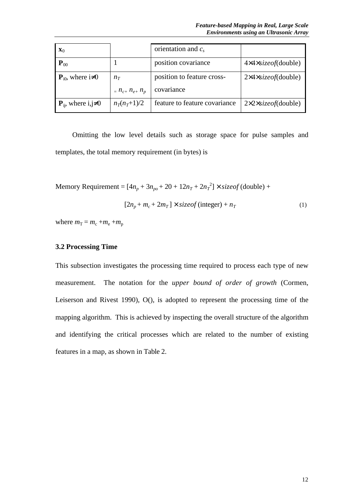| $\mathbf{x}_0$                      |                       | orientation and $c_s$         |                                          |  |
|-------------------------------------|-----------------------|-------------------------------|------------------------------------------|--|
| $P_{00}$                            |                       | position covariance           | $4 \times 4 \times sizeof$ (double)      |  |
| ${\bf P}_{i0}$ , where $i\neq 0$    | $n_T$                 | position to feature cross-    | $2\times4\times \text{size}$ of (double) |  |
|                                     | $= n_{c+} n_{e+} n_p$ | covariance                    |                                          |  |
| ${\bf P}_{ii}$ , where i,j $\neq 0$ | $n_T(n_T+1)/2$        | feature to feature covariance | $2 \times 2 \times sizeof$ (double)      |  |

Omitting the low level details such as storage space for pulse samples and templates, the total memory requirement (in bytes) is

Memory Requirement =  $[4n_p + 3n_{po} + 20 + 12n_T + 2n_T^2] \times sizeof$  (double) +

$$
[2n_p + m_c + 2m_T] \times \text{sizeof} \text{ (integer)} + n_T \tag{1}
$$

where  $m_T = m_c + m_e + m_p$ 

# **3.2 Processing Time**

This subsection investigates the processing time required to process each type of new measurement. The notation for the *upper bound of order of growth* (Cormen, Leiserson and Rivest 1990), O(), is adopted to represent the processing time of the mapping algorithm. This is achieved by inspecting the overall structure of the algorithm and identifying the critical processes which are related to the number of existing features in a map, as shown in Table 2.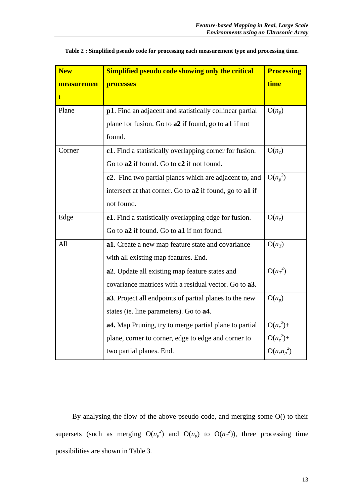| <b>New</b> | <b>Simplified pseudo code showing only the critical</b>             | <b>Processing</b> |
|------------|---------------------------------------------------------------------|-------------------|
| measuremen | processes                                                           | time              |
| t.         |                                                                     |                   |
| Plane      | p1. Find an adjacent and statistically collinear partial            | $O(n_p)$          |
|            | plane for fusion. Go to a2 if found, go to a1 if not                |                   |
|            | found.                                                              |                   |
| Corner     | c1. Find a statistically overlapping corner for fusion.             | $O(n_c)$          |
|            | Go to a2 if found. Go to c2 if not found.                           |                   |
|            | c2. Find two partial planes which are adjacent to, and              | $O(n_p^2)$        |
|            | intersect at that corner. Go to a2 if found, go to a1 if            |                   |
|            | not found.                                                          |                   |
| Edge       | e1. Find a statistically overlapping edge for fusion.               | $O(n_e)$          |
|            | Go to a2 if found. Go to a1 if not found.                           |                   |
| All        | a1. Create a new map feature state and covariance                   | $O(n_T)$          |
|            | with all existing map features. End.                                |                   |
|            | a2. Update all existing map feature states and                      | $O(n_T^2)$        |
|            | covariance matrices with a residual vector. Go to a3.               |                   |
|            | a <sub>3</sub> . Project all endpoints of partial planes to the new | $O(n_p)$          |
|            | states (ie. line parameters). Go to <b>a4</b> .                     |                   |
|            | a4. Map Pruning, try to merge partial plane to partial              | $O(n_c^2)$ +      |
|            | plane, corner to corner, edge to edge and corner to                 | $O(n_e^2)$ +      |
|            | two partial planes. End.                                            | $O(n_c n_p^2)$    |

**Table 2 : Simplified pseudo code for processing each measurement type and processing time.**

By analysing the flow of the above pseudo code, and merging some O() to their supersets (such as merging  $O(n_p^2)$  and  $O(n_p)$  to  $O(n_T^2)$ ), three processing time possibilities are shown in Table 3.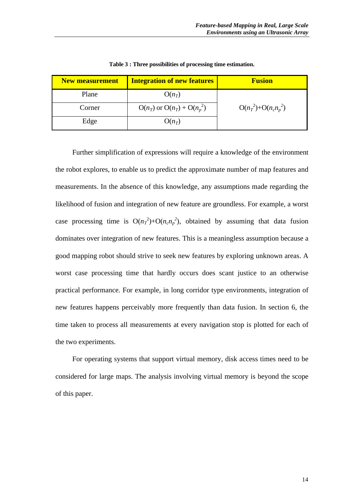| <b>New measurement</b> | <b>Fusion</b>                   |                           |
|------------------------|---------------------------------|---------------------------|
| Plane                  | $O(n_T)$                        |                           |
| Corner                 | $O(n_T)$ or $O(n_T) + O(n_p^2)$ | $O(n_T^2) + O(n_c n_p^2)$ |
| Edge                   | $O(n_T)$                        |                           |

**Table 3 : Three possibilities of processing time estimation.**

Further simplification of expressions will require a knowledge of the environment the robot explores, to enable us to predict the approximate number of map features and measurements. In the absence of this knowledge, any assumptions made regarding the likelihood of fusion and integration of new feature are groundless. For example, a worst case processing time is  $O(n_T^2) + O(n_c n_p^2)$ , obtained by assuming that data fusion dominates over integration of new features. This is a meaningless assumption because a good mapping robot should strive to seek new features by exploring unknown areas. A worst case processing time that hardly occurs does scant justice to an otherwise practical performance. For example, in long corridor type environments, integration of new features happens perceivably more frequently than data fusion. In section 6, the time taken to process all measurements at every navigation stop is plotted for each of the two experiments.

For operating systems that support virtual memory, disk access times need to be considered for large maps. The analysis involving virtual memory is beyond the scope of this paper.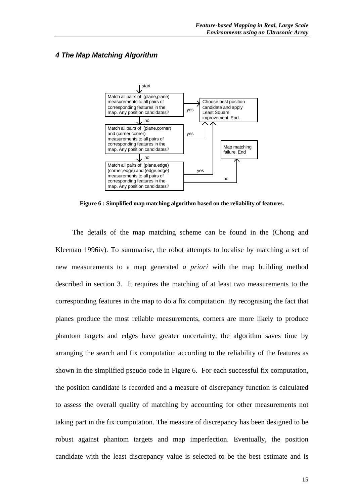# *4 The Map Matching Algorithm*



**Figure 6 : Simplified map matching algorithm based on the reliability of features.**

The details of the map matching scheme can be found in the (Chong and Kleeman 1996iv). To summarise, the robot attempts to localise by matching a set of new measurements to a map generated *a priori* with the map building method described in section 3. It requires the matching of at least two measurements to the corresponding features in the map to do a fix computation. By recognising the fact that planes produce the most reliable measurements, corners are more likely to produce phantom targets and edges have greater uncertainty, the algorithm saves time by arranging the search and fix computation according to the reliability of the features as shown in the simplified pseudo code in Figure 6. For each successful fix computation, the position candidate is recorded and a measure of discrepancy function is calculated to assess the overall quality of matching by accounting for other measurements not taking part in the fix computation. The measure of discrepancy has been designed to be robust against phantom targets and map imperfection. Eventually, the position candidate with the least discrepancy value is selected to be the best estimate and is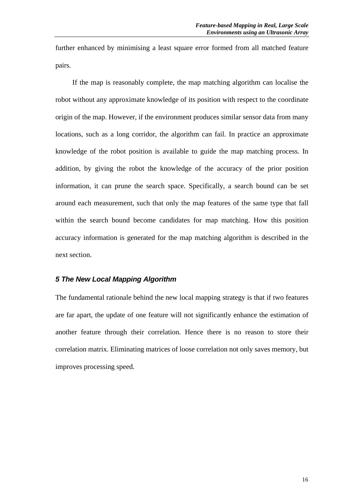further enhanced by minimising a least square error formed from all matched feature pairs.

If the map is reasonably complete, the map matching algorithm can localise the robot without any approximate knowledge of its position with respect to the coordinate origin of the map. However, if the environment produces similar sensor data from many locations, such as a long corridor, the algorithm can fail. In practice an approximate knowledge of the robot position is available to guide the map matching process. In addition, by giving the robot the knowledge of the accuracy of the prior position information, it can prune the search space. Specifically, a search bound can be set around each measurement, such that only the map features of the same type that fall within the search bound become candidates for map matching. How this position accuracy information is generated for the map matching algorithm is described in the next section.

# *5 The New Local Mapping Algorithm*

The fundamental rationale behind the new local mapping strategy is that if two features are far apart, the update of one feature will not significantly enhance the estimation of another feature through their correlation. Hence there is no reason to store their correlation matrix. Eliminating matrices of loose correlation not only saves memory, but improves processing speed.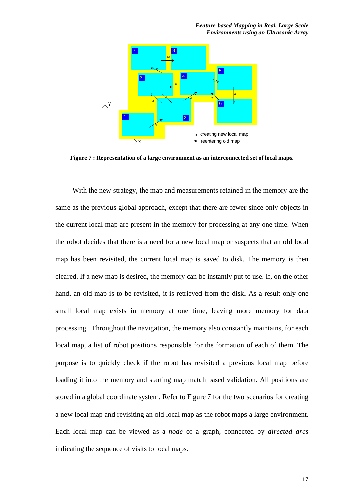

**Figure 7 : Representation of a large environment as an interconnected set of local maps.**

With the new strategy, the map and measurements retained in the memory are the same as the previous global approach, except that there are fewer since only objects in the current local map are present in the memory for processing at any one time. When the robot decides that there is a need for a new local map or suspects that an old local map has been revisited, the current local map is saved to disk. The memory is then cleared. If a new map is desired, the memory can be instantly put to use. If, on the other hand, an old map is to be revisited, it is retrieved from the disk. As a result only one small local map exists in memory at one time, leaving more memory for data processing. Throughout the navigation, the memory also constantly maintains, for each local map, a list of robot positions responsible for the formation of each of them. The purpose is to quickly check if the robot has revisited a previous local map before loading it into the memory and starting map match based validation. All positions are stored in a global coordinate system. Refer to Figure 7 for the two scenarios for creating a new local map and revisiting an old local map as the robot maps a large environment. Each local map can be viewed as a *node* of a graph, connected by *directed arcs* indicating the sequence of visits to local maps.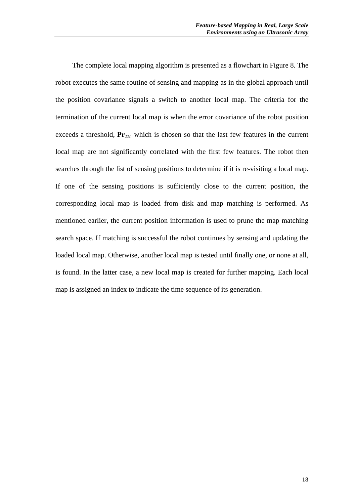The complete local mapping algorithm is presented as a flowchart in Figure 8. The robot executes the same routine of sensing and mapping as in the global approach until the position covariance signals a switch to another local map. The criteria for the termination of the current local map is when the error covariance of the robot position exceeds a threshold,  $Pr_{TH}$  which is chosen so that the last few features in the current local map are not significantly correlated with the first few features. The robot then searches through the list of sensing positions to determine if it is re-visiting a local map. If one of the sensing positions is sufficiently close to the current position, the corresponding local map is loaded from disk and map matching is performed. As mentioned earlier, the current position information is used to prune the map matching search space. If matching is successful the robot continues by sensing and updating the loaded local map. Otherwise, another local map is tested until finally one, or none at all, is found. In the latter case, a new local map is created for further mapping. Each local map is assigned an index to indicate the time sequence of its generation.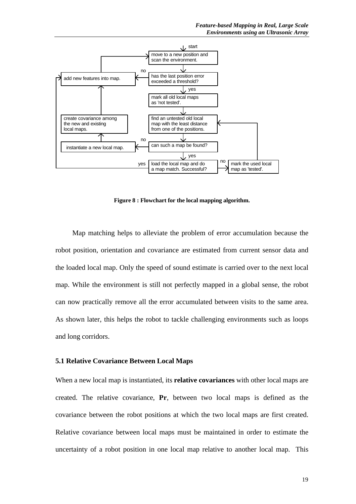

**Figure 8 : Flowchart for the local mapping algorithm.**

Map matching helps to alleviate the problem of error accumulation because the robot position, orientation and covariance are estimated from current sensor data and the loaded local map. Only the speed of sound estimate is carried over to the next local map. While the environment is still not perfectly mapped in a global sense, the robot can now practically remove all the error accumulated between visits to the same area. As shown later, this helps the robot to tackle challenging environments such as loops and long corridors.

#### **5.1 Relative Covariance Between Local Maps**

When a new local map is instantiated, its **relative covariances** with other local maps are created. The relative covariance, **Pr**, between two local maps is defined as the covariance between the robot positions at which the two local maps are first created. Relative covariance between local maps must be maintained in order to estimate the uncertainty of a robot position in one local map relative to another local map. This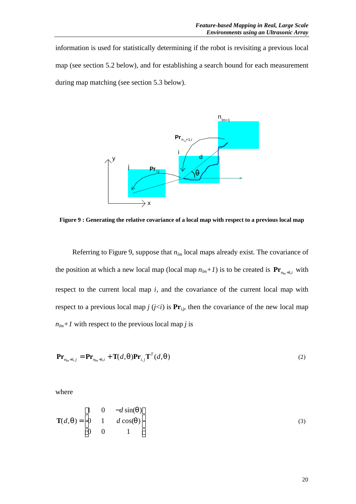information is used for statistically determining if the robot is revisiting a previous local map (see section 5.2 below), and for establishing a search bound for each measurement during map matching (see section 5.3 below).



**Figure 9 : Generating the relative covariance of a local map with respect to a previous local map**

Referring to Figure 9, suppose that  $n_{lm}$  local maps already exist. The covariance of the position at which a new local map (local map  $n_{lm}$ +*I*) is to be created is  $\mathbf{Pr}_{n_{lm}+1,i}$  with respect to the current local map *i*, and the covariance of the current local map with respect to a previous local map  $j$   $(j < i)$  is  $Pr_{i,j}$ , then the covariance of the new local map  $n_{lm}$ +1 with respect to the previous local map *j* is

$$
\mathbf{Pr}_{n_{lm}+1,j} = \mathbf{Pr}_{n_{lm}+1,i} + \mathbf{T}(d,q)\mathbf{Pr}_{i,j}\mathbf{T}^T(d,q)
$$
\n(2)

where

$$
\mathbf{T}(d,\boldsymbol{q}) = \begin{bmatrix} 1 & 0 & -d\sin(\boldsymbol{q}) \\ 0 & 1 & d\cos(\boldsymbol{q}) \\ 0 & 0 & 1 \end{bmatrix} \tag{3}
$$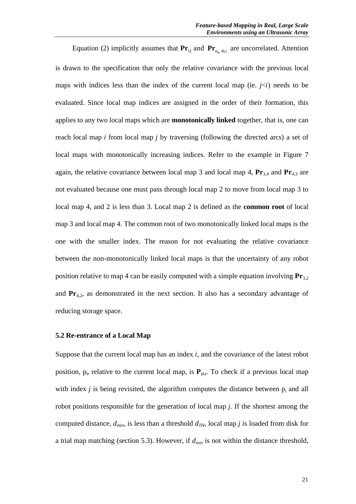Equation (2) implicitly assumes that  $\mathbf{Pr}_{i,j}$  and  $\mathbf{Pr}_{n_{lm}+1,i}$  are uncorrelated. Attention is drawn to the specification that only the relative covariance with the previous local maps with indices less than the index of the current local map (ie.  $i \leq i$ ) needs to be evaluated. Since local map indices are assigned in the order of their formation, this applies to any two local maps which are **monotonically linked** together, that is, one can reach local map *i* from local map *j* by traversing (following the directed arcs) a set of local maps with monotonically increasing indices. Refer to the example in Figure 7 again, the relative covariance between local map 3 and local map 4,  $Pr_{3,4}$  and  $Pr_{4,3}$  are not evaluated because one must pass through local map 2 to move from local map 3 to local map 4, and 2 is less than 3. Local map 2 is defined as the **common root** of local map 3 and local map 4. The common root of two monotonically linked local maps is the one with the smaller index. The reason for not evaluating the relative covariance between the non-monotonically linked local maps is that the uncertainty of any robot position relative to map 4 can be easily computed with a simple equation involving  $Pr_{3,2}$ and **Pr**4,2, as demonstrated in the next section. It also has a secondary advantage of reducing storage space.

#### **5.2 Re-entrance of a Local Map**

Suppose that the current local map has an index *i*, and the covariance of the latest robot position, p<sub>i</sub>, relative to the current local map, is  $P_{pi,i}$ . To check if a previous local map with index  $j$  is being revisited, the algorithm computes the distance between  $p_i$  and all robot positions responsible for the generation of local map *j*. If the shortest among the computed distance,  $d_{min}$ , is less than a threshold  $d_{TH}$ , local map *j* is loaded from disk for a trial map matching (section 5.3). However, if *dmin* is not within the distance threshold,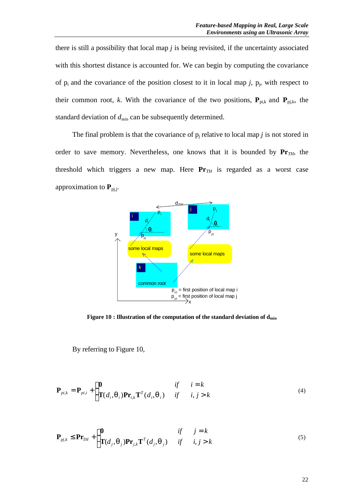there is still a possibility that local map *j* is being revisited, if the uncertainty associated with this shortest distance is accounted for. We can begin by computing the covariance of  $p_i$  and the covariance of the position closest to it in local map  $j$ ,  $p_j$ , with respect to their common root, *k*. With the covariance of the two positions,  $P_{pi,k}$  and  $P_{pi,k}$ , the standard deviation of *dmin* can be subsequently determined.

The final problem is that the covariance of  $p_j$  relative to local map  $j$  is not stored in order to save memory. Nevertheless, one knows that it is bounded by  $Pr_{TH}$ , the threshold which triggers a new map. Here  $Pr_{TH}$  is regarded as a worst case approximation to  $P_{pi,i}$ .



**Figure 10 : Illustration of the computation of the standard deviation of dmin**

By referring to Figure 10,

$$
\mathbf{P}_{pi,k} = \mathbf{P}_{pi,i} + \begin{cases} \mathbf{0} & \text{if } i = k \\ \mathbf{T}(d_i, \mathbf{q}_i) \mathbf{P} \mathbf{r}_{i,k} \mathbf{T}^T(d_i, \mathbf{q}_i) & \text{if } i, j > k \end{cases}
$$
 (4)

$$
\mathbf{P}_{pj,k} \leq \mathbf{Pr}_{TH} + \begin{cases} \mathbf{0} & \text{if } j = k \\ \mathbf{T}(d_j, \mathbf{q}_j) \mathbf{Pr}_{j,k} \mathbf{T}^T(d_j, \mathbf{q}_j) & \text{if } i, j > k \end{cases} \tag{5}
$$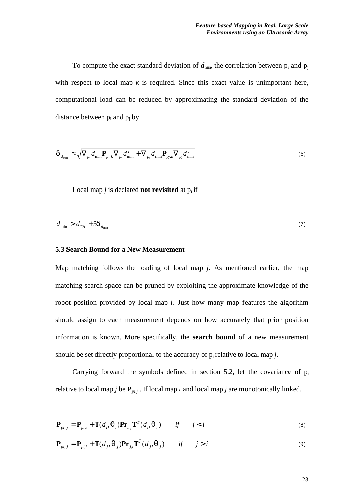To compute the exact standard deviation of  $d_{\text{min}}$ , the correlation between  $p_i$  and  $p_j$ with respect to local map  $k$  is required. Since this exact value is unimportant here, computational load can be reduced by approximating the standard deviation of the distance between  $p_i$  and  $p_j$  by

$$
\boldsymbol{d}_{d_{\min}} \approx \sqrt{\nabla_{pi} d_{\min} \mathbf{P}_{pi,k} \nabla_{pi} d_{\min}^T + \nabla_{pj} d_{\min} \mathbf{P}_{pj,k} \nabla_{pj} d_{\min}^T}
$$
(6)

Local map  $j$  is declared **not revisited** at  $p_i$  if

$$
d_{\min} > d_{TH} + 3\mathbf{d}_{d_{\min}} \tag{7}
$$

#### **5.3 Search Bound for a New Measurement**

Map matching follows the loading of local map *j*. As mentioned earlier, the map matching search space can be pruned by exploiting the approximate knowledge of the robot position provided by local map *i*. Just how many map features the algorithm should assign to each measurement depends on how accurately that prior position information is known. More specifically, the **search bound** of a new measurement should be set directly proportional to the accuracy of  $p_i$  relative to local map  $j$ .

Carrying forward the symbols defined in section 5.2, let the covariance of p<sup>i</sup> relative to local map *j* be  $P_{pi}$ ; If local map *i* and local map *j* are monotonically linked,

$$
\mathbf{P}_{pi,j} = \mathbf{P}_{pi,i} + \mathbf{T}(d_i, \mathbf{q}_i) \mathbf{P} \mathbf{r}_{i,j} \mathbf{T}^T(d_i, \mathbf{q}_i) \qquad \text{if} \qquad j < i \tag{8}
$$

$$
\mathbf{P}_{pi,j} = \mathbf{P}_{pi,i} + \mathbf{T}(d_j, \mathbf{q}_j) \mathbf{Pr}_{j,i} \mathbf{T}^T(d_j, \mathbf{q}_j) \qquad \text{if} \qquad j > i \tag{9}
$$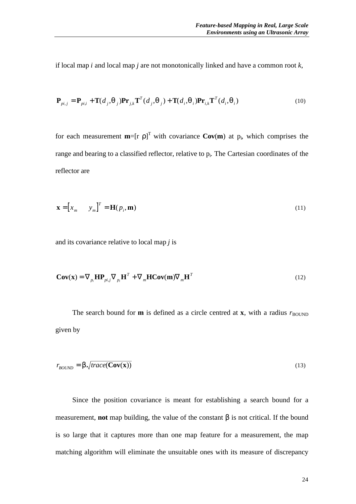if local map *i* and local map *j* are not monotonically linked and have a common root *k*,

$$
\mathbf{P}_{pi,j} = \mathbf{P}_{pi,j} + \mathbf{T}(d_j, \mathbf{q}_j) \mathbf{P} \mathbf{r}_{j,k} \mathbf{T}^T(d_j, \mathbf{q}_j) + \mathbf{T}(d_i, \mathbf{q}_i) \mathbf{P} \mathbf{r}_{i,k} \mathbf{T}^T(d_i, \mathbf{q}_i)
$$
(10)

for each measurement  $m=[r \rho]$ <sup>T</sup> with covariance  $Cov(m)$  at  $p_i$ , which comprises the range and bearing to a classified reflector, relative to  $p_i$ . The Cartesian coordinates of the reflector are

$$
\mathbf{x} = \begin{bmatrix} x_m & y_m \end{bmatrix}^T = \mathbf{H}(p_i, \mathbf{m})
$$
\n(11)

and its covariance relative to local map *j* is

$$
\mathbf{Cov}(\mathbf{x}) = \nabla_{p_i} \mathbf{H} \mathbf{P}_{pij} \nabla_{p_i} \mathbf{H}^T + \nabla_m \mathbf{H} \mathbf{Cov}(\mathbf{m}) \nabla_m \mathbf{H}^T
$$
\n(12)

The search bound for **m** is defined as a circle centred at **x**, with a radius  $r_{\text{BOLND}}$ given by

$$
r_{\text{BOUND}} = \mathbf{b} \sqrt{\text{trace}(\mathbf{Cov}(\mathbf{x}))}
$$
\n(13)

Since the position covariance is meant for establishing a search bound for a measurement, **not** map building, the value of the constant β is not critical. If the bound is so large that it captures more than one map feature for a measurement, the map matching algorithm will eliminate the unsuitable ones with its measure of discrepancy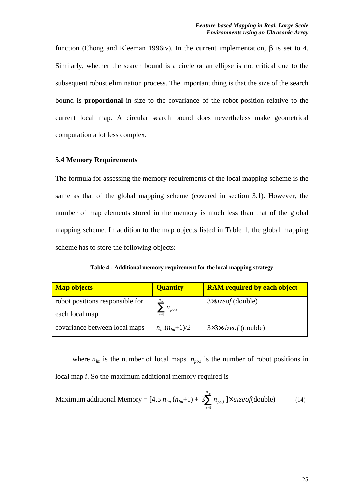function (Chong and Kleeman 1996iv). In the current implementation, β is set to 4. Similarly, whether the search bound is a circle or an ellipse is not critical due to the subsequent robust elimination process. The important thing is that the size of the search bound is **proportional** in size to the covariance of the robot position relative to the current local map. A circular search bound does nevertheless make geometrical computation a lot less complex.

## **5.4 Memory Requirements**

The formula for assessing the memory requirements of the local mapping scheme is the same as that of the global mapping scheme (covered in section 3.1). However, the number of map elements stored in the memory is much less than that of the global mapping scheme. In addition to the map objects listed in Table 1, the global mapping scheme has to store the following objects:

| Table 4 : Additional memory requirement for the local mapping strategy |  |  |
|------------------------------------------------------------------------|--|--|
|------------------------------------------------------------------------|--|--|

| <b>Map objects</b>              | <b>Quantity</b>          | <b>RAM</b> required by each object        |  |  |
|---------------------------------|--------------------------|-------------------------------------------|--|--|
| robot positions responsible for |                          | $3x \times 3x$ (double)                   |  |  |
| each local map                  | $\sum n_{po,i}$<br>$i=1$ |                                           |  |  |
| covariance between local maps   | $n_{lm}(n_{lm}+1)/2$     | $3\times 3\times \text{size of}$ (double) |  |  |

where  $n_{lm}$  is the number of local maps.  $n_{po,i}$  is the number of robot positions in local map *i*. So the maximum additional memory required is

Maximum additional Memory = 
$$
[4.5 n_{lm} (n_{lm}+1) + 3 \sum_{i=1}^{n_{lm}} n_{po,i}] \times \text{sizeof}(\text{double})
$$
 (14)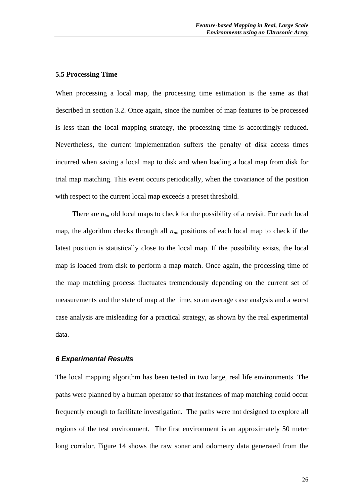### **5.5 Processing Time**

When processing a local map, the processing time estimation is the same as that described in section 3.2. Once again, since the number of map features to be processed is less than the local mapping strategy, the processing time is accordingly reduced. Nevertheless, the current implementation suffers the penalty of disk access times incurred when saving a local map to disk and when loading a local map from disk for trial map matching. This event occurs periodically, when the covariance of the position with respect to the current local map exceeds a preset threshold.

There are  $n_{lm}$  old local maps to check for the possibility of a revisit. For each local map, the algorithm checks through all *npo* positions of each local map to check if the latest position is statistically close to the local map. If the possibility exists, the local map is loaded from disk to perform a map match. Once again, the processing time of the map matching process fluctuates tremendously depending on the current set of measurements and the state of map at the time, so an average case analysis and a worst case analysis are misleading for a practical strategy, as shown by the real experimental data.

#### *6 Experimental Results*

The local mapping algorithm has been tested in two large, real life environments. The paths were planned by a human operator so that instances of map matching could occur frequently enough to facilitate investigation. The paths were not designed to explore all regions of the test environment. The first environment is an approximately 50 meter long corridor. Figure 14 shows the raw sonar and odometry data generated from the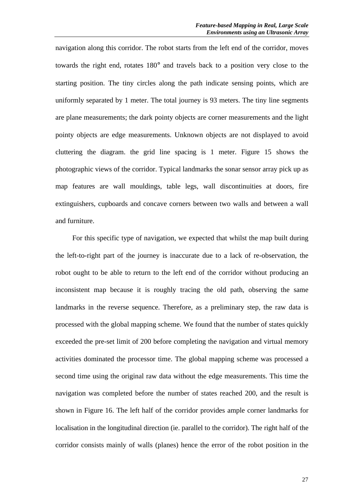navigation along this corridor. The robot starts from the left end of the corridor, moves towards the right end, rotates 180° and travels back to a position very close to the starting position. The tiny circles along the path indicate sensing points, which are uniformly separated by 1 meter. The total journey is 93 meters. The tiny line segments are plane measurements; the dark pointy objects are corner measurements and the light pointy objects are edge measurements. Unknown objects are not displayed to avoid cluttering the diagram. the grid line spacing is 1 meter. Figure 15 shows the photographic views of the corridor. Typical landmarks the sonar sensor array pick up as map features are wall mouldings, table legs, wall discontinuities at doors, fire extinguishers, cupboards and concave corners between two walls and between a wall and furniture.

For this specific type of navigation, we expected that whilst the map built during the left-to-right part of the journey is inaccurate due to a lack of re-observation, the robot ought to be able to return to the left end of the corridor without producing an inconsistent map because it is roughly tracing the old path, observing the same landmarks in the reverse sequence. Therefore, as a preliminary step, the raw data is processed with the global mapping scheme. We found that the number of states quickly exceeded the pre-set limit of 200 before completing the navigation and virtual memory activities dominated the processor time. The global mapping scheme was processed a second time using the original raw data without the edge measurements. This time the navigation was completed before the number of states reached 200, and the result is shown in Figure 16. The left half of the corridor provides ample corner landmarks for localisation in the longitudinal direction (ie. parallel to the corridor). The right half of the corridor consists mainly of walls (planes) hence the error of the robot position in the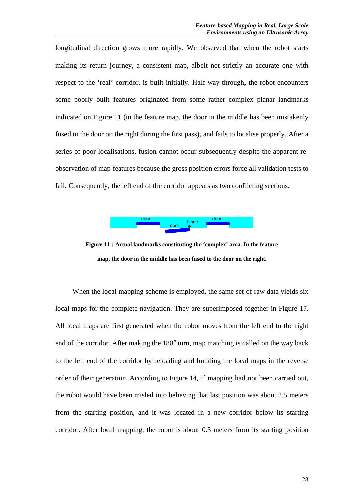longitudinal direction grows more rapidly. We observed that when the robot starts making its return journey, a consistent map, albeit not strictly an accurate one with respect to the 'real' corridor, is built initially. Half way through, the robot encounters some poorly built features originated from some rather complex planar landmarks indicated on Figure 11 (in the feature map, the door in the middle has been mistakenly fused to the door on the right during the first pass), and fails to localise properly. After a series of poor localisations, fusion cannot occur subsequently despite the apparent reobservation of map features because the gross position errors force all validation tests to fail. Consequently, the left end of the corridor appears as two conflicting sections.



**Figure 11 : Actual landmarks constituting the 'complex' area. In the feature map, the door in the middle has been fused to the door on the right.**

When the local mapping scheme is employed, the same set of raw data yields six local maps for the complete navigation. They are superimposed together in Figure 17. All local maps are first generated when the robot moves from the left end to the right end of the corridor. After making the 180° turn, map matching is called on the way back to the left end of the corridor by reloading and building the local maps in the reverse order of their generation. According to Figure 14, if mapping had not been carried out, the robot would have been misled into believing that last position was about 2.5 meters from the starting position, and it was located in a new corridor below its starting corridor. After local mapping, the robot is about 0.3 meters from its starting position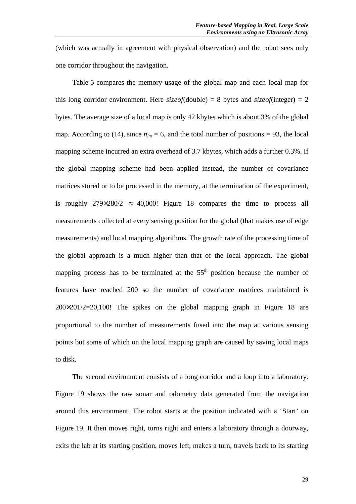(which was actually in agreement with physical observation) and the robot sees only one corridor throughout the navigation.

Table 5 compares the memory usage of the global map and each local map for this long corridor environment. Here  $\text{size}$  *of*(double) = 8 bytes and  $\text{size}$  *of*(integer) = 2 bytes. The average size of a local map is only 42 kbytes which is about 3% of the global map. According to (14), since  $n_{lm} = 6$ , and the total number of positions = 93, the local mapping scheme incurred an extra overhead of 3.7 kbytes, which adds a further 0.3%. If the global mapping scheme had been applied instead, the number of covariance matrices stored or to be processed in the memory, at the termination of the experiment, is roughly  $279\times280/2 \approx 40,000!$  Figure 18 compares the time to process all measurements collected at every sensing position for the global (that makes use of edge measurements) and local mapping algorithms. The growth rate of the processing time of the global approach is a much higher than that of the local approach. The global mapping process has to be terminated at the  $55<sup>th</sup>$  position because the number of features have reached 200 so the number of covariance matrices maintained is 200×201/2=20,100! The spikes on the global mapping graph in Figure 18 are proportional to the number of measurements fused into the map at various sensing points but some of which on the local mapping graph are caused by saving local maps to disk.

The second environment consists of a long corridor and a loop into a laboratory. Figure 19 shows the raw sonar and odometry data generated from the navigation around this environment. The robot starts at the position indicated with a 'Start' on Figure 19. It then moves right, turns right and enters a laboratory through a doorway, exits the lab at its starting position, moves left, makes a turn, travels back to its starting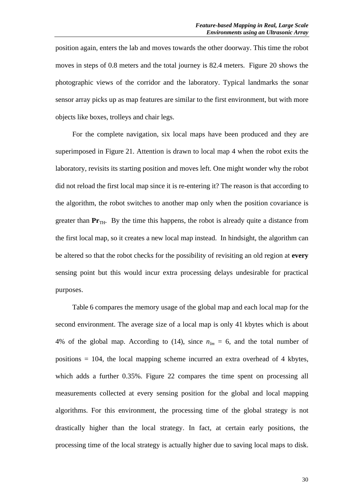position again, enters the lab and moves towards the other doorway. This time the robot moves in steps of 0.8 meters and the total journey is 82.4 meters. Figure 20 shows the photographic views of the corridor and the laboratory. Typical landmarks the sonar sensor array picks up as map features are similar to the first environment, but with more objects like boxes, trolleys and chair legs.

For the complete navigation, six local maps have been produced and they are superimposed in Figure 21. Attention is drawn to local map 4 when the robot exits the laboratory, revisits its starting position and moves left. One might wonder why the robot did not reload the first local map since it is re-entering it? The reason is that according to the algorithm, the robot switches to another map only when the position covariance is greater than  $Pr_{TH}$ . By the time this happens, the robot is already quite a distance from the first local map, so it creates a new local map instead. In hindsight, the algorithm can be altered so that the robot checks for the possibility of revisiting an old region at **every** sensing point but this would incur extra processing delays undesirable for practical purposes.

Table 6 compares the memory usage of the global map and each local map for the second environment. The average size of a local map is only 41 kbytes which is about 4% of the global map. According to (14), since  $n_{lm} = 6$ , and the total number of positions  $= 104$ , the local mapping scheme incurred an extra overhead of 4 kbytes, which adds a further 0.35%. Figure 22 compares the time spent on processing all measurements collected at every sensing position for the global and local mapping algorithms. For this environment, the processing time of the global strategy is not drastically higher than the local strategy. In fact, at certain early positions, the processing time of the local strategy is actually higher due to saving local maps to disk.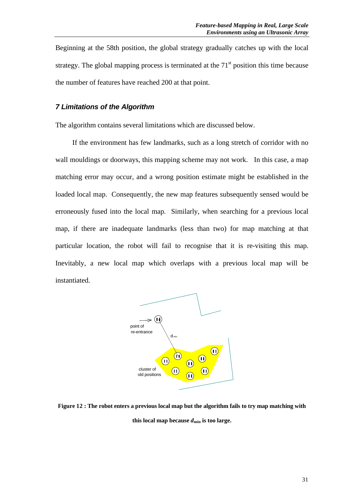Beginning at the 58th position, the global strategy gradually catches up with the local strategy. The global mapping process is terminated at the  $71<sup>st</sup>$  position this time because the number of features have reached 200 at that point.

# *7 Limitations of the Algorithm*

The algorithm contains several limitations which are discussed below.

If the environment has few landmarks, such as a long stretch of corridor with no wall mouldings or doorways, this mapping scheme may not work. In this case, a map matching error may occur, and a wrong position estimate might be established in the loaded local map. Consequently, the new map features subsequently sensed would be erroneously fused into the local map. Similarly, when searching for a previous local map, if there are inadequate landmarks (less than two) for map matching at that particular location, the robot will fail to recognise that it is re-visiting this map. Inevitably, a new local map which overlaps with a previous local map will be instantiated.



**Figure 12 : The robot enters a previous local map but the algorithm fails to try map matching with** this local map because  $d_{\min}$  is too large.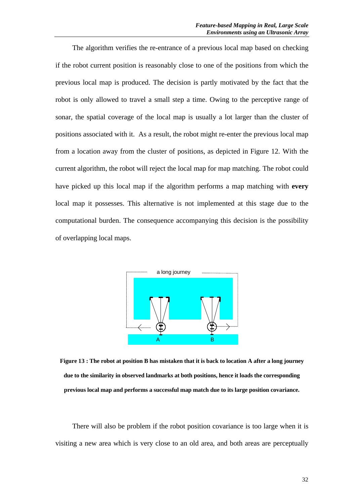The algorithm verifies the re-entrance of a previous local map based on checking if the robot current position is reasonably close to one of the positions from which the previous local map is produced. The decision is partly motivated by the fact that the robot is only allowed to travel a small step a time. Owing to the perceptive range of sonar, the spatial coverage of the local map is usually a lot larger than the cluster of positions associated with it. As a result, the robot might re-enter the previous local map from a location away from the cluster of positions, as depicted in Figure 12. With the current algorithm, the robot will reject the local map for map matching. The robot could have picked up this local map if the algorithm performs a map matching with **every** local map it possesses. This alternative is not implemented at this stage due to the computational burden. The consequence accompanying this decision is the possibility of overlapping local maps.



**Figure 13 : The robot at position B has mistaken that it is back to location A after a long journey due to the similarity in observed landmarks at both positions, hence it loads the corresponding previous local map and performs a successful map match due to its large position covariance.**

There will also be problem if the robot position covariance is too large when it is visiting a new area which is very close to an old area, and both areas are perceptually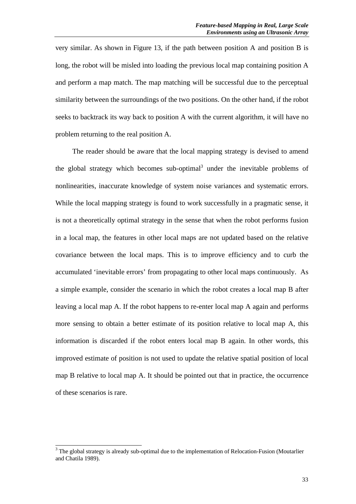very similar. As shown in Figure 13, if the path between position A and position B is long, the robot will be misled into loading the previous local map containing position A and perform a map match. The map matching will be successful due to the perceptual similarity between the surroundings of the two positions. On the other hand, if the robot seeks to backtrack its way back to position A with the current algorithm, it will have no problem returning to the real position A.

The reader should be aware that the local mapping strategy is devised to amend the global strategy which becomes sub-optimal<sup>3</sup> under the inevitable problems of nonlinearities, inaccurate knowledge of system noise variances and systematic errors. While the local mapping strategy is found to work successfully in a pragmatic sense, it is not a theoretically optimal strategy in the sense that when the robot performs fusion in a local map, the features in other local maps are not updated based on the relative covariance between the local maps. This is to improve efficiency and to curb the accumulated 'inevitable errors' from propagating to other local maps continuously. As a simple example, consider the scenario in which the robot creates a local map B after leaving a local map A. If the robot happens to re-enter local map A again and performs more sensing to obtain a better estimate of its position relative to local map A, this information is discarded if the robot enters local map B again. In other words, this improved estimate of position is not used to update the relative spatial position of local map B relative to local map A. It should be pointed out that in practice, the occurrence of these scenarios is rare.

<sup>&</sup>lt;sup>3</sup> The global strategy is already sub-optimal due to the implementation of Relocation-Fusion (Moutarlier and Chatila 1989).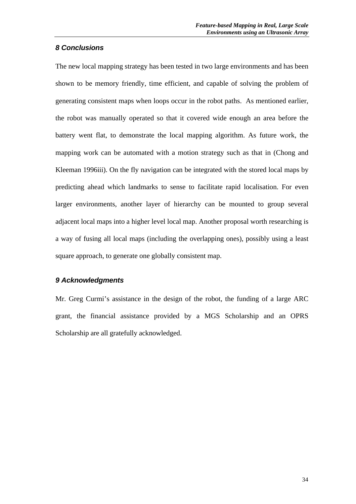# *8 Conclusions*

The new local mapping strategy has been tested in two large environments and has been shown to be memory friendly, time efficient, and capable of solving the problem of generating consistent maps when loops occur in the robot paths. As mentioned earlier, the robot was manually operated so that it covered wide enough an area before the battery went flat, to demonstrate the local mapping algorithm. As future work, the mapping work can be automated with a motion strategy such as that in (Chong and Kleeman 1996iii). On the fly navigation can be integrated with the stored local maps by predicting ahead which landmarks to sense to facilitate rapid localisation. For even larger environments, another layer of hierarchy can be mounted to group several adjacent local maps into a higher level local map. Another proposal worth researching is a way of fusing all local maps (including the overlapping ones), possibly using a least square approach, to generate one globally consistent map.

## *9 Acknowledgments*

Mr. Greg Curmi's assistance in the design of the robot, the funding of a large ARC grant, the financial assistance provided by a MGS Scholarship and an OPRS Scholarship are all gratefully acknowledged.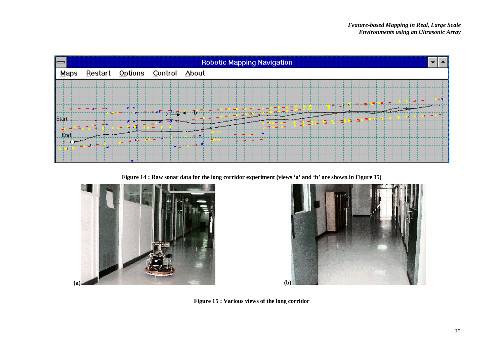

**Figure 14 : Raw sonar data for the long corridor experiment (views 'a' and 'b' are shown in Figure 15)**





**Figure 15 : Various views of the long corridor**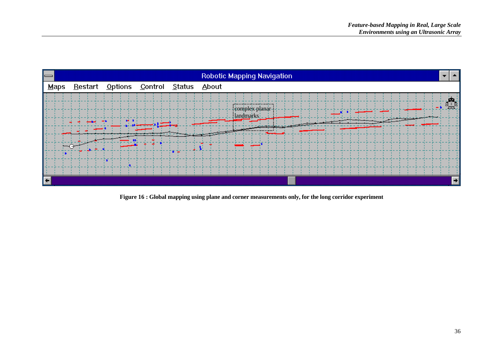

**Figure 16 : Global mapping using plane and corner measurements only, for the long corridor experiment**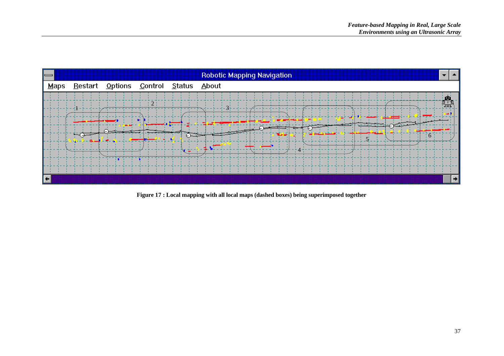

**Figure 17 : Local mapping with all local maps (dashed boxes) being superimposed together**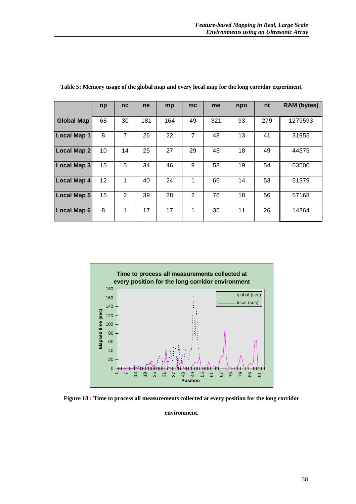|                    | np | nc             | ne  | mp  | mc             | me  | npo | nt  | <b>RAM</b> (bytes) |
|--------------------|----|----------------|-----|-----|----------------|-----|-----|-----|--------------------|
|                    |    |                |     |     |                |     |     |     |                    |
| <b>Global Map</b>  | 68 | 30             | 181 | 164 | 49             | 321 | 93  | 279 | 1279593            |
|                    |    |                |     |     |                |     |     |     |                    |
| <b>Local Map 1</b> | 8  | $\overline{7}$ | 26  | 22  | $\overline{7}$ | 48  | 13  | 41  | 31955              |
|                    |    |                |     |     |                |     |     |     |                    |
| <b>Local Map 2</b> | 10 | 14             | 25  | 27  | 29             | 43  | 18  | 49  | 44575              |
|                    |    |                |     |     |                |     |     |     |                    |
| <b>Local Map 3</b> | 15 | 5              | 34  | 46  | 9              | 53  | 19  | 54  | 53500              |
|                    |    |                |     |     |                |     |     |     |                    |
| <b>Local Map 4</b> | 12 | 1              | 40  | 24  | 1              | 66  | 14  | 53  | 51379              |
|                    |    |                |     |     |                |     |     |     |                    |
| <b>Local Map 5</b> | 15 | $\overline{2}$ | 39  | 28  | $\overline{2}$ | 76  | 18  | 56  | 57168              |
|                    |    |                |     |     |                |     |     |     |                    |
| <b>Local Map 6</b> | 8  | 1              | 17  | 17  | 1              | 35  | 11  | 26  | 14264              |
|                    |    |                |     |     |                |     |     |     |                    |

**Table 5: Memory usage of the global map and every local map for the long corridor experiment.**



**Figure 18 : Time to process all measurements collected at every position for the long corridor**

**environment.**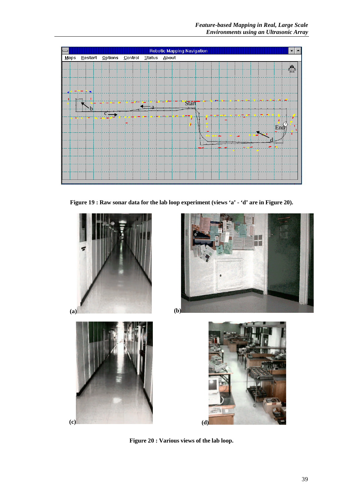

**Figure 19 : Raw sonar data for the lab loop experiment (views 'a' - 'd' are in Figure 20).**



**Figure 20 : Various views of the lab loop.**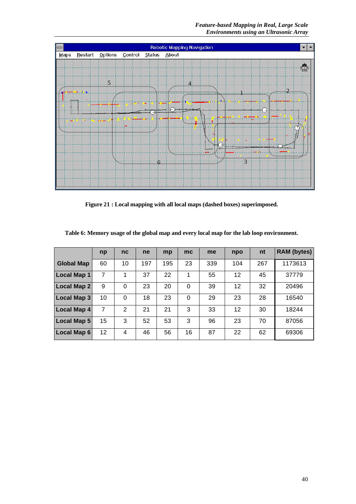*Feature-based Mapping in Real, Large Scale Environments using an Ultrasonic Array*



**Figure 21 : Local mapping with all local maps (dashed boxes) superimposed.**

|                    | np | nc       | ne  | mp  | mc       | me  | npo | nt  | <b>RAM</b> (bytes) |
|--------------------|----|----------|-----|-----|----------|-----|-----|-----|--------------------|
| <b>Global Map</b>  | 60 | 10       | 197 | 195 | 23       | 339 | 104 | 267 | 1173613            |
| <b>Local Map 1</b> | 7  | 1        | 37  | 22  | 1        | 55  | 12  | 45  | 37779              |
| Local Map 2        | 9  | $\Omega$ | 23  | 20  | $\Omega$ | 39  | 12  | 32  | 20496              |
| <b>Local Map 3</b> | 10 | $\Omega$ | 18  | 23  | 0        | 29  | 23  | 28  | 16540              |
| <b>Local Map 4</b> | 7  | 2        | 21  | 21  | 3        | 33  | 12  | 30  | 18244              |
| <b>Local Map 5</b> | 15 | 3        | 52  | 53  | 3        | 96  | 23  | 70  | 87056              |
| <b>Local Map 6</b> | 12 | 4        | 46  | 56  | 16       | 87  | 22  | 62  | 69306              |

**Table 6: Memory usage of the global map and every local map for the lab loop environment.**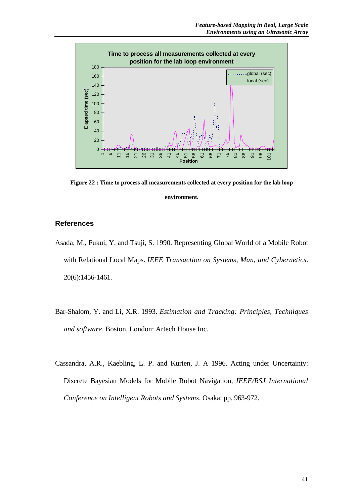

**Figure 22 : Time to process all measurements collected at every position for the lab loop environment.**

# **References**

- Asada, M., Fukui, Y. and Tsuji, S. 1990. Representing Global World of a Mobile Robot with Relational Local Maps. *IEEE Transaction on Systems, Man, and Cybernetics*. 20(6):1456-1461.
- Bar-Shalom, Y. and Li, X.R. 1993. *Estimation and Tracking: Principles, Techniques and software*. Boston, London: Artech House Inc.
- Cassandra, A.R., Kaebling, L. P. and Kurien, J. A 1996. Acting under Uncertainty: Discrete Bayesian Models for Mobile Robot Navigation, *IEEE/RSJ International Conference on Intelligent Robots and Systems*. Osaka: pp. 963-972.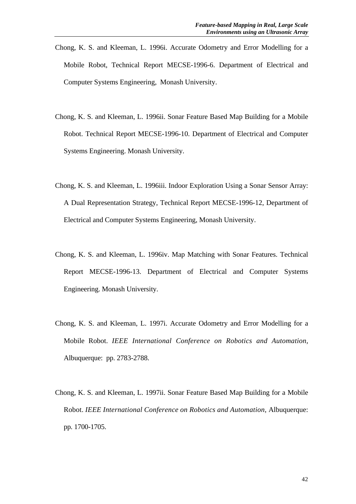- Chong, K. S. and Kleeman, L. 1996i. Accurate Odometry and Error Modelling for a Mobile Robot, Technical Report MECSE-1996-6. Department of Electrical and Computer Systems Engineering, Monash University.
- Chong, K. S. and Kleeman, L. 1996ii. Sonar Feature Based Map Building for a Mobile Robot. Technical Report MECSE-1996-10. Department of Electrical and Computer Systems Engineering. Monash University.
- Chong, K. S. and Kleeman, L. 1996iii. Indoor Exploration Using a Sonar Sensor Array: A Dual Representation Strategy, Technical Report MECSE-1996-12, Department of Electrical and Computer Systems Engineering, Monash University.
- Chong, K. S. and Kleeman, L. 1996iv. Map Matching with Sonar Features. Technical Report MECSE-1996-13. Department of Electrical and Computer Systems Engineering. Monash University.
- Chong, K. S. and Kleeman, L. 1997i. Accurate Odometry and Error Modelling for a Mobile Robot. *IEEE International Conference on Robotics and Automation*, Albuquerque: pp. 2783-2788.
- Chong, K. S. and Kleeman, L. 1997ii. Sonar Feature Based Map Building for a Mobile Robot. *IEEE International Conference on Robotics and Automation*, Albuquerque: pp. 1700-1705.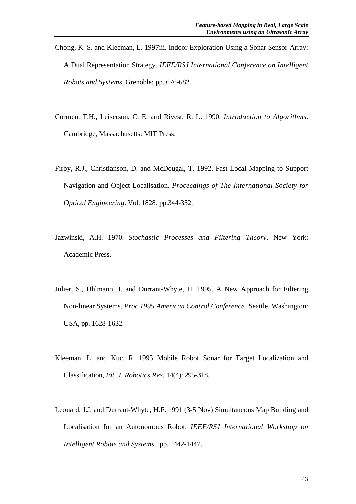- Chong, K. S. and Kleeman, L. 1997iii. Indoor Exploration Using a Sonar Sensor Array: A Dual Representation Strategy. *IEEE/RSJ International Conference on Intelligent Robots and Systems*, Grenoble: pp. 676-682.
- Cormen, T.H., Leiserson, C. E. and Rivest, R. L. 1990. *Introduction to Algorithms*. Cambridge, Massachusetts: MIT Press.
- Firby, R.J., Christianson, D. and McDougal, T. 1992. Fast Local Mapping to Support Navigation and Object Localisation. *Proceedings of The International Society for Optical Engineering*. Vol. 1828. pp.344-352.
- Jazwinski, A.H. 1970. *Stochastic Processes and Filtering Theory*. New York: Academic Press.
- Julier, S., Uhlmann, J. and Durrant-Whyte, H. 1995. A New Approach for Filtering Non-linear Systems. *Proc 1995 American Control Conference*. Seattle, Washington: USA, pp. 1628-1632.
- Kleeman, L. and Kuc, R. 1995 Mobile Robot Sonar for Target Localization and Classification, *Int. J. Robotics Res.* 14(4): 295-318.
- Leonard, J.J. and Durrant-Whyte, H.F. 1991 (3-5 Nov) Simultaneous Map Building and Localisation for an Autonomous Robot. *IEEE/RSJ International Workshop on Intelligent Robots and Systems*. pp. 1442-1447.